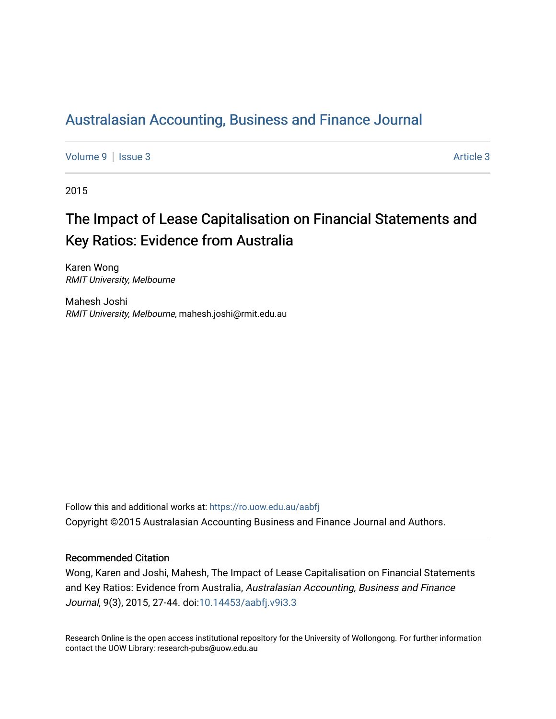## [Australasian Accounting, Business and Finance Journal](https://ro.uow.edu.au/aabfj)

[Volume 9](https://ro.uow.edu.au/aabfj/vol9) | [Issue 3](https://ro.uow.edu.au/aabfj/vol9/iss3) Article 3

2015

# The Impact of Lease Capitalisation on Financial Statements and Key Ratios: Evidence from Australia

Karen Wong RMIT University, Melbourne

Mahesh Joshi RMIT University, Melbourne, mahesh.joshi@rmit.edu.au

Follow this and additional works at: [https://ro.uow.edu.au/aabfj](https://ro.uow.edu.au/aabfj?utm_source=ro.uow.edu.au%2Faabfj%2Fvol9%2Fiss3%2F3&utm_medium=PDF&utm_campaign=PDFCoverPages) Copyright ©2015 Australasian Accounting Business and Finance Journal and Authors.

#### Recommended Citation

Wong, Karen and Joshi, Mahesh, The Impact of Lease Capitalisation on Financial Statements and Key Ratios: Evidence from Australia, Australasian Accounting, Business and Finance Journal, 9(3), 2015, 27-44. doi[:10.14453/aabfj.v9i3.3](http://dx.doi.org/10.14453/aabfj.v9i3.3) 

Research Online is the open access institutional repository for the University of Wollongong. For further information contact the UOW Library: research-pubs@uow.edu.au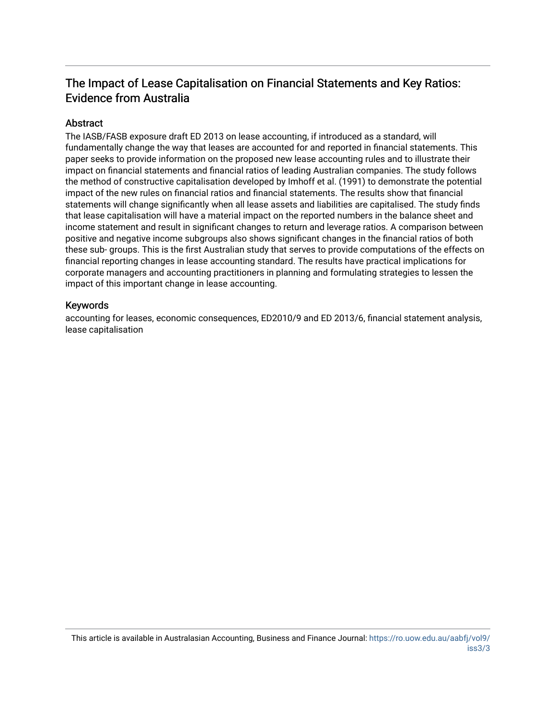### The Impact of Lease Capitalisation on Financial Statements and Key Ratios: Evidence from Australia

#### Abstract

The IASB/FASB exposure draft ED 2013 on lease accounting, if introduced as a standard, will fundamentally change the way that leases are accounted for and reported in financial statements. This paper seeks to provide information on the proposed new lease accounting rules and to illustrate their impact on financial statements and financial ratios of leading Australian companies. The study follows the method of constructive capitalisation developed by Imhoff et al. (1991) to demonstrate the potential impact of the new rules on financial ratios and financial statements. The results show that financial statements will change significantly when all lease assets and liabilities are capitalised. The study finds that lease capitalisation will have a material impact on the reported numbers in the balance sheet and income statement and result in significant changes to return and leverage ratios. A comparison between positive and negative income subgroups also shows significant changes in the financial ratios of both these sub- groups. This is the first Australian study that serves to provide computations of the effects on financial reporting changes in lease accounting standard. The results have practical implications for corporate managers and accounting practitioners in planning and formulating strategies to lessen the impact of this important change in lease accounting.

#### Keywords

accounting for leases, economic consequences, ED2010/9 and ED 2013/6, financial statement analysis, lease capitalisation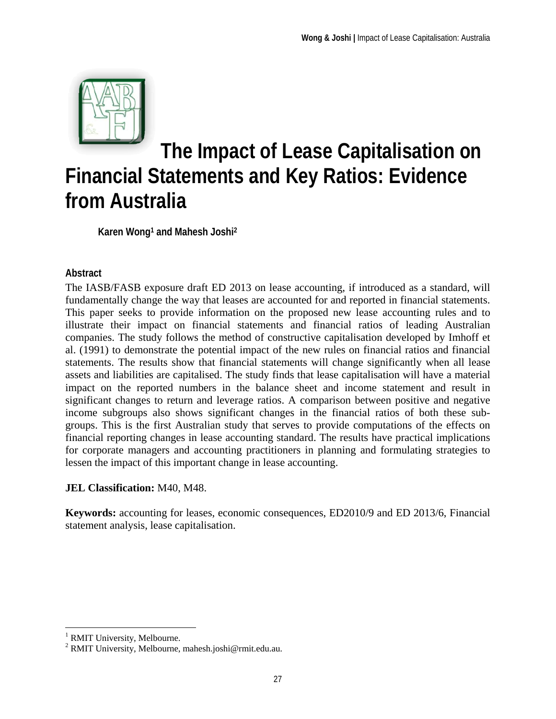

# **The Impact of Lease Capitalisation on Financial Statements and Key Ratios: Evidence from Australia**

**Karen Wong1 and Mahesh Joshi2** 

#### **Abstract**

The IASB/FASB exposure draft ED 2013 on lease accounting, if introduced as a standard, will fundamentally change the way that leases are accounted for and reported in financial statements. This paper seeks to provide information on the proposed new lease accounting rules and to illustrate their impact on financial statements and financial ratios of leading Australian companies. The study follows the method of constructive capitalisation developed by Imhoff et al. (1991) to demonstrate the potential impact of the new rules on financial ratios and financial statements. The results show that financial statements will change significantly when all lease assets and liabilities are capitalised. The study finds that lease capitalisation will have a material impact on the reported numbers in the balance sheet and income statement and result in significant changes to return and leverage ratios. A comparison between positive and negative income subgroups also shows significant changes in the financial ratios of both these subgroups. This is the first Australian study that serves to provide computations of the effects on financial reporting changes in lease accounting standard. The results have practical implications for corporate managers and accounting practitioners in planning and formulating strategies to lessen the impact of this important change in lease accounting.

#### **JEL Classification:** M40, M48.

**Keywords:** accounting for leases, economic consequences, ED2010/9 and ED 2013/6, Financial statement analysis, lease capitalisation.

 $\overline{a}$ 

<sup>&</sup>lt;sup>1</sup> RMIT University, Melbourne.

<sup>2</sup> RMIT University, Melbourne, mahesh.joshi@rmit.edu.au.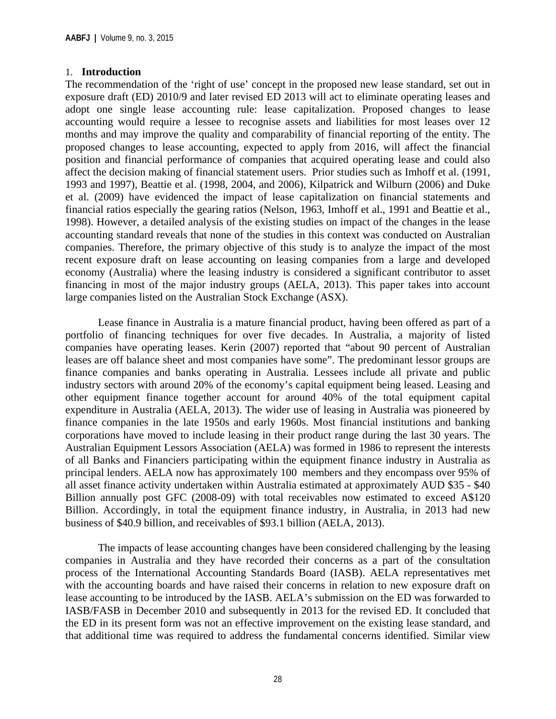#### 1. **Introduction**

The recommendation of the 'right of use' concept in the proposed new lease standard, set out in exposure draft (ED) 2010/9 and later revised ED 2013 will act to eliminate operating leases and adopt one single lease accounting rule: lease capitalization. Proposed changes to lease accounting would require a lessee to recognise assets and liabilities for most leases over 12 months and may improve the quality and comparability of financial reporting of the entity. The proposed changes to lease accounting, expected to apply from 2016, will affect the financial position and financial performance of companies that acquired operating lease and could also affect the decision making of financial statement users. Prior studies such as Imhoff et al. (1991, 1993 and 1997), Beattie et al. (1998, 2004, and 2006), Kilpatrick and Wilburn (2006) and Duke et al. (2009) have evidenced the impact of lease capitalization on financial statements and financial ratios especially the gearing ratios (Nelson, 1963, Imhoff et al., 1991 and Beattie et al., 1998). However, a detailed analysis of the existing studies on impact of the changes in the lease accounting standard reveals that none of the studies in this context was conducted on Australian companies. Therefore, the primary objective of this study is to analyze the impact of the most recent exposure draft on lease accounting on leasing companies from a large and developed economy (Australia) where the leasing industry is considered a significant contributor to asset financing in most of the major industry groups (AELA, 2013). This paper takes into account large companies listed on the Australian Stock Exchange (ASX).

Lease finance in Australia is a mature financial product, having been offered as part of a portfolio of financing techniques for over five decades. In Australia, a majority of listed companies have operating leases. Kerin (2007) reported that "about 90 percent of Australian leases are off balance sheet and most companies have some". The predominant lessor groups are finance companies and banks operating in Australia. Lessees include all private and public industry sectors with around 20% of the economy's capital equipment being leased. Leasing and other equipment finance together account for around 40% of the total equipment capital expenditure in Australia (AELA, 2013). The wider use of leasing in Australia was pioneered by finance companies in the late 1950s and early 1960s. Most financial institutions and banking corporations have moved to include leasing in their product range during the last 30 years. The Australian Equipment Lessors Association (AELA) was formed in 1986 to represent the interests of all Banks and Financiers participating within the equipment finance industry in Australia as principal lenders. AELA now has approximately 100 members and they encompass over 95% of all asset finance activity undertaken within Australia estimated at approximately AUD \$35 - \$40 Billion annually post GFC (2008-09) with total receivables now estimated to exceed A\$120 Billion. Accordingly, in total the equipment finance industry, in Australia, in 2013 had new business of \$40.9 billion, and receivables of \$93.1 billion (AELA, 2013).

The impacts of lease accounting changes have been considered challenging by the leasing companies in Australia and they have recorded their concerns as a part of the consultation process of the International Accounting Standards Board (IASB). AELA representatives met with the accounting boards and have raised their concerns in relation to new exposure draft on lease accounting to be introduced by the IASB. AELA's submission on the ED was forwarded to IASB/FASB in December 2010 and subsequently in 2013 for the revised ED. It concluded that the ED in its present form was not an effective improvement on the existing lease standard, and that additional time was required to address the fundamental concerns identified. Similar view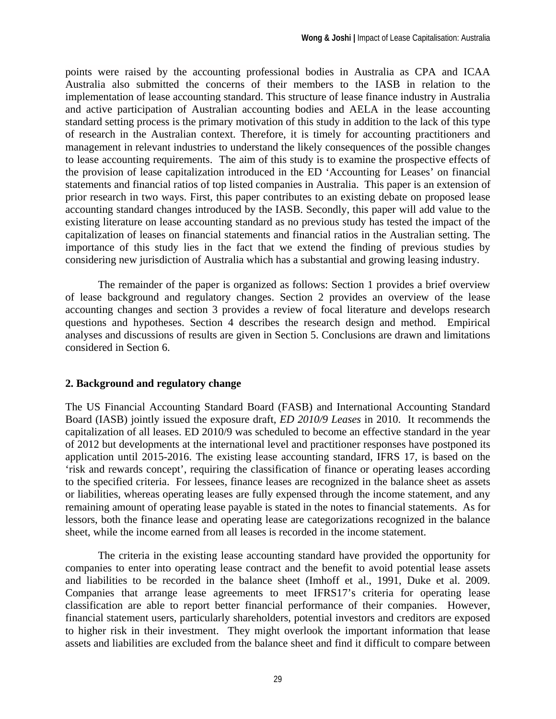points were raised by the accounting professional bodies in Australia as CPA and ICAA Australia also submitted the concerns of their members to the IASB in relation to the implementation of lease accounting standard. This structure of lease finance industry in Australia and active participation of Australian accounting bodies and AELA in the lease accounting standard setting process is the primary motivation of this study in addition to the lack of this type of research in the Australian context. Therefore, it is timely for accounting practitioners and management in relevant industries to understand the likely consequences of the possible changes to lease accounting requirements. The aim of this study is to examine the prospective effects of the provision of lease capitalization introduced in the ED 'Accounting for Leases' on financial statements and financial ratios of top listed companies in Australia. This paper is an extension of prior research in two ways. First, this paper contributes to an existing debate on proposed lease accounting standard changes introduced by the IASB. Secondly, this paper will add value to the existing literature on lease accounting standard as no previous study has tested the impact of the capitalization of leases on financial statements and financial ratios in the Australian setting. The importance of this study lies in the fact that we extend the finding of previous studies by considering new jurisdiction of Australia which has a substantial and growing leasing industry.

The remainder of the paper is organized as follows: Section 1 provides a brief overview of lease background and regulatory changes. Section 2 provides an overview of the lease accounting changes and section 3 provides a review of focal literature and develops research questions and hypotheses. Section 4 describes the research design and method. Empirical analyses and discussions of results are given in Section 5. Conclusions are drawn and limitations considered in Section 6.

#### **2. Background and regulatory change**

The US Financial Accounting Standard Board (FASB) and International Accounting Standard Board (IASB) jointly issued the exposure draft, *ED 2010/9 Leases* in 2010. It recommends the capitalization of all leases. ED 2010/9 was scheduled to become an effective standard in the year of 2012 but developments at the international level and practitioner responses have postponed its application until 2015-2016. The existing lease accounting standard, IFRS 17, is based on the 'risk and rewards concept', requiring the classification of finance or operating leases according to the specified criteria. For lessees, finance leases are recognized in the balance sheet as assets or liabilities, whereas operating leases are fully expensed through the income statement, and any remaining amount of operating lease payable is stated in the notes to financial statements. As for lessors, both the finance lease and operating lease are categorizations recognized in the balance sheet, while the income earned from all leases is recorded in the income statement.

The criteria in the existing lease accounting standard have provided the opportunity for companies to enter into operating lease contract and the benefit to avoid potential lease assets and liabilities to be recorded in the balance sheet (Imhoff et al., 1991, Duke et al. 2009. Companies that arrange lease agreements to meet IFRS17's criteria for operating lease classification are able to report better financial performance of their companies. However, financial statement users, particularly shareholders, potential investors and creditors are exposed to higher risk in their investment. They might overlook the important information that lease assets and liabilities are excluded from the balance sheet and find it difficult to compare between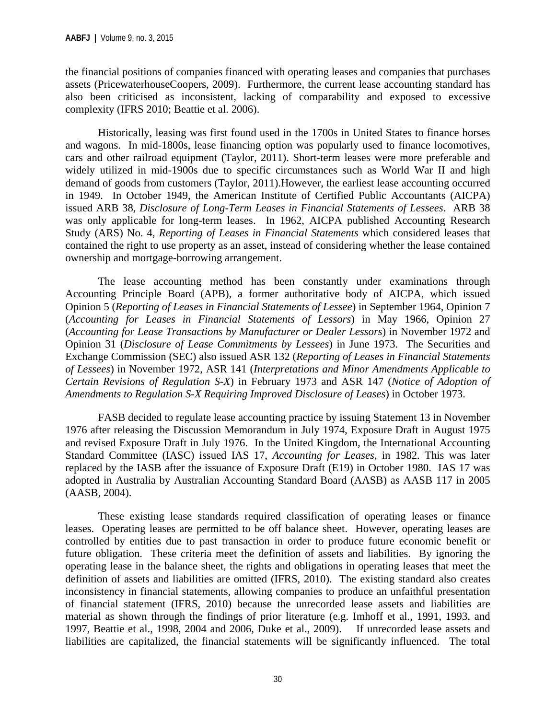the financial positions of companies financed with operating leases and companies that purchases assets (PricewaterhouseCoopers, 2009). Furthermore, the current lease accounting standard has also been criticised as inconsistent, lacking of comparability and exposed to excessive complexity (IFRS 2010; Beattie et al. 2006).

Historically, leasing was first found used in the 1700s in United States to finance horses and wagons. In mid-1800s, lease financing option was popularly used to finance locomotives, cars and other railroad equipment (Taylor, 2011). Short-term leases were more preferable and widely utilized in mid-1900s due to specific circumstances such as World War II and high demand of goods from customers (Taylor, 2011).However, the earliest lease accounting occurred in 1949. In October 1949, the American Institute of Certified Public Accountants (AICPA) issued ARB 38, *Disclosure of Long-Term Leases in Financial Statements of Lessees*. ARB 38 was only applicable for long-term leases. In 1962, AICPA published Accounting Research Study (ARS) No. 4, *Reporting of Leases in Financial Statements* which considered leases that contained the right to use property as an asset, instead of considering whether the lease contained ownership and mortgage-borrowing arrangement.

The lease accounting method has been constantly under examinations through Accounting Principle Board (APB), a former authoritative body of AICPA, which issued Opinion 5 (*Reporting of Leases in Financial Statements of Lessee*) in September 1964, Opinion 7 (*Accounting for Leases in Financial Statements of Lessors*) in May 1966, Opinion 27 (*Accounting for Lease Transactions by Manufacturer or Dealer Lessors*) in November 1972 and Opinion 31 (*Disclosure of Lease Commitments by Lessees*) in June 1973. The Securities and Exchange Commission (SEC) also issued ASR 132 (*Reporting of Leases in Financial Statements of Lessees*) in November 1972, ASR 141 (*Interpretations and Minor Amendments Applicable to Certain Revisions of Regulation S-X*) in February 1973 and ASR 147 (*Notice of Adoption of Amendments to Regulation S-X Requiring Improved Disclosure of Leases*) in October 1973.

FASB decided to regulate lease accounting practice by issuing Statement 13 in November 1976 after releasing the Discussion Memorandum in July 1974, Exposure Draft in August 1975 and revised Exposure Draft in July 1976. In the United Kingdom, the International Accounting Standard Committee (IASC) issued IAS 17, *Accounting for Leases*, in 1982. This was later replaced by the IASB after the issuance of Exposure Draft (E19) in October 1980. IAS 17 was adopted in Australia by Australian Accounting Standard Board (AASB) as AASB 117 in 2005 (AASB, 2004).

These existing lease standards required classification of operating leases or finance leases. Operating leases are permitted to be off balance sheet. However, operating leases are controlled by entities due to past transaction in order to produce future economic benefit or future obligation. These criteria meet the definition of assets and liabilities. By ignoring the operating lease in the balance sheet, the rights and obligations in operating leases that meet the definition of assets and liabilities are omitted (IFRS, 2010). The existing standard also creates inconsistency in financial statements, allowing companies to produce an unfaithful presentation of financial statement (IFRS, 2010) because the unrecorded lease assets and liabilities are material as shown through the findings of prior literature (e.g. Imhoff et al., 1991, 1993, and 1997, Beattie et al., 1998, 2004 and 2006, Duke et al., 2009). If unrecorded lease assets and liabilities are capitalized, the financial statements will be significantly influenced. The total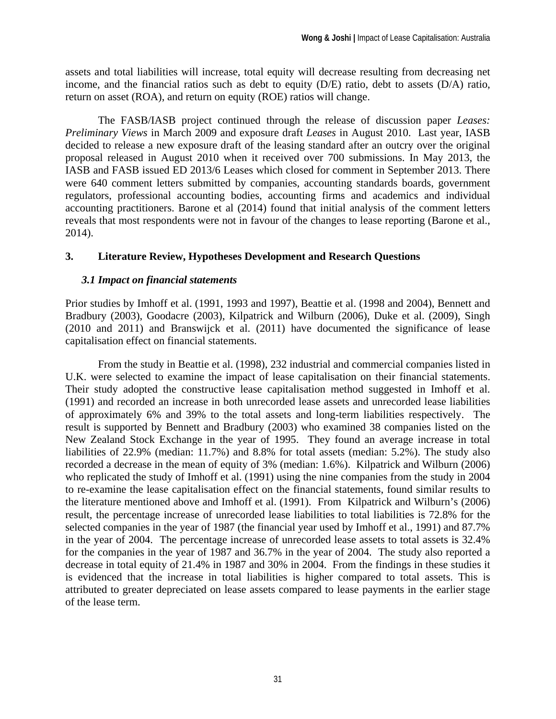assets and total liabilities will increase, total equity will decrease resulting from decreasing net income, and the financial ratios such as debt to equity (D/E) ratio, debt to assets (D/A) ratio, return on asset (ROA), and return on equity (ROE) ratios will change.

The FASB/IASB project continued through the release of discussion paper *Leases: Preliminary Views* in March 2009 and exposure draft *Leases* in August 2010. Last year, IASB decided to release a new exposure draft of the leasing standard after an outcry over the original proposal released in August 2010 when it received over 700 submissions. In May 2013, the IASB and FASB issued ED 2013/6 Leases which closed for comment in September 2013. There were 640 comment letters submitted by companies, accounting standards boards, government regulators, professional accounting bodies, accounting firms and academics and individual accounting practitioners. Barone et al (2014) found that initial analysis of the comment letters reveals that most respondents were not in favour of the changes to lease reporting (Barone et al., 2014).

#### **3. Literature Review, Hypotheses Development and Research Questions**

#### *3.1 Impact on financial statements*

Prior studies by Imhoff et al. (1991, 1993 and 1997), Beattie et al. (1998 and 2004), Bennett and Bradbury (2003), Goodacre (2003), Kilpatrick and Wilburn (2006), Duke et al. (2009), Singh (2010 and 2011) and Branswijck et al. (2011) have documented the significance of lease capitalisation effect on financial statements.

From the study in Beattie et al. (1998), 232 industrial and commercial companies listed in U.K. were selected to examine the impact of lease capitalisation on their financial statements. Their study adopted the constructive lease capitalisation method suggested in Imhoff et al. (1991) and recorded an increase in both unrecorded lease assets and unrecorded lease liabilities of approximately 6% and 39% to the total assets and long-term liabilities respectively. The result is supported by Bennett and Bradbury (2003) who examined 38 companies listed on the New Zealand Stock Exchange in the year of 1995. They found an average increase in total liabilities of 22.9% (median: 11.7%) and 8.8% for total assets (median: 5.2%). The study also recorded a decrease in the mean of equity of 3% (median: 1.6%). Kilpatrick and Wilburn (2006) who replicated the study of Imhoff et al. (1991) using the nine companies from the study in 2004 to re-examine the lease capitalisation effect on the financial statements, found similar results to the literature mentioned above and Imhoff et al. (1991). From Kilpatrick and Wilburn's (2006) result, the percentage increase of unrecorded lease liabilities to total liabilities is 72.8% for the selected companies in the year of 1987 (the financial year used by Imhoff et al., 1991) and 87.7% in the year of 2004. The percentage increase of unrecorded lease assets to total assets is 32.4% for the companies in the year of 1987 and 36.7% in the year of 2004. The study also reported a decrease in total equity of 21.4% in 1987 and 30% in 2004. From the findings in these studies it is evidenced that the increase in total liabilities is higher compared to total assets. This is attributed to greater depreciated on lease assets compared to lease payments in the earlier stage of the lease term.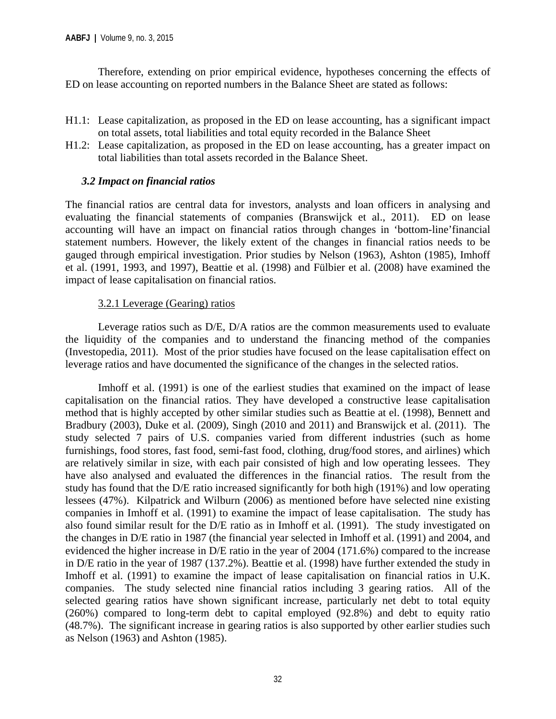Therefore, extending on prior empirical evidence, hypotheses concerning the effects of ED on lease accounting on reported numbers in the Balance Sheet are stated as follows:

- H1.1: Lease capitalization, as proposed in the ED on lease accounting, has a significant impact on total assets, total liabilities and total equity recorded in the Balance Sheet
- H1.2: Lease capitalization, as proposed in the ED on lease accounting, has a greater impact on total liabilities than total assets recorded in the Balance Sheet.

#### *3.2 Impact on financial ratios*

The financial ratios are central data for investors, analysts and loan officers in analysing and evaluating the financial statements of companies (Branswijck et al., 2011). ED on lease accounting will have an impact on financial ratios through changes in 'bottom-line'financial statement numbers. However, the likely extent of the changes in financial ratios needs to be gauged through empirical investigation. Prior studies by Nelson (1963), Ashton (1985), Imhoff et al. (1991, 1993, and 1997), Beattie et al. (1998) and Fülbier et al. (2008) have examined the impact of lease capitalisation on financial ratios.

#### 3.2.1 Leverage (Gearing) ratios

Leverage ratios such as D/E, D/A ratios are the common measurements used to evaluate the liquidity of the companies and to understand the financing method of the companies (Investopedia, 2011). Most of the prior studies have focused on the lease capitalisation effect on leverage ratios and have documented the significance of the changes in the selected ratios.

Imhoff et al. (1991) is one of the earliest studies that examined on the impact of lease capitalisation on the financial ratios. They have developed a constructive lease capitalisation method that is highly accepted by other similar studies such as Beattie at el. (1998), Bennett and Bradbury (2003), Duke et al. (2009), Singh (2010 and 2011) and Branswijck et al. (2011). The study selected 7 pairs of U.S. companies varied from different industries (such as home furnishings, food stores, fast food, semi-fast food, clothing, drug/food stores, and airlines) which are relatively similar in size, with each pair consisted of high and low operating lessees. They have also analysed and evaluated the differences in the financial ratios. The result from the study has found that the D/E ratio increased significantly for both high (191%) and low operating lessees (47%). Kilpatrick and Wilburn (2006) as mentioned before have selected nine existing companies in Imhoff et al. (1991) to examine the impact of lease capitalisation. The study has also found similar result for the D/E ratio as in Imhoff et al. (1991). The study investigated on the changes in D/E ratio in 1987 (the financial year selected in Imhoff et al. (1991) and 2004, and evidenced the higher increase in D/E ratio in the year of 2004 (171.6%) compared to the increase in D/E ratio in the year of 1987 (137.2%). Beattie et al. (1998) have further extended the study in Imhoff et al. (1991) to examine the impact of lease capitalisation on financial ratios in U.K. companies. The study selected nine financial ratios including 3 gearing ratios. All of the selected gearing ratios have shown significant increase, particularly net debt to total equity (260%) compared to long-term debt to capital employed (92.8%) and debt to equity ratio (48.7%). The significant increase in gearing ratios is also supported by other earlier studies such as Nelson (1963) and Ashton (1985).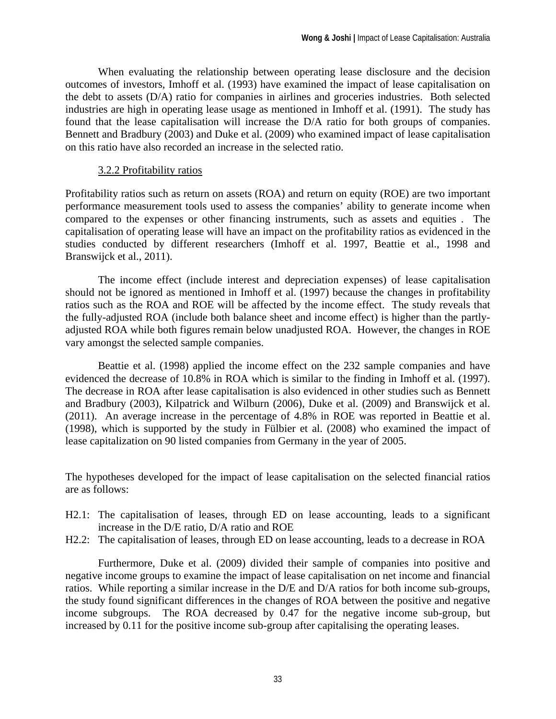When evaluating the relationship between operating lease disclosure and the decision outcomes of investors, Imhoff et al. (1993) have examined the impact of lease capitalisation on the debt to assets (D/A) ratio for companies in airlines and groceries industries. Both selected industries are high in operating lease usage as mentioned in Imhoff et al. (1991). The study has found that the lease capitalisation will increase the D/A ratio for both groups of companies. Bennett and Bradbury (2003) and Duke et al. (2009) who examined impact of lease capitalisation on this ratio have also recorded an increase in the selected ratio.

#### 3.2.2 Profitability ratios

Profitability ratios such as return on assets (ROA) and return on equity (ROE) are two important performance measurement tools used to assess the companies' ability to generate income when compared to the expenses or other financing instruments, such as assets and equities . The capitalisation of operating lease will have an impact on the profitability ratios as evidenced in the studies conducted by different researchers (Imhoff et al. 1997, Beattie et al., 1998 and Branswijck et al., 2011).

The income effect (include interest and depreciation expenses) of lease capitalisation should not be ignored as mentioned in Imhoff et al. (1997) because the changes in profitability ratios such as the ROA and ROE will be affected by the income effect. The study reveals that the fully-adjusted ROA (include both balance sheet and income effect) is higher than the partlyadjusted ROA while both figures remain below unadjusted ROA. However, the changes in ROE vary amongst the selected sample companies.

Beattie et al. (1998) applied the income effect on the 232 sample companies and have evidenced the decrease of 10.8% in ROA which is similar to the finding in Imhoff et al. (1997). The decrease in ROA after lease capitalisation is also evidenced in other studies such as Bennett and Bradbury (2003), Kilpatrick and Wilburn (2006), Duke et al. (2009) and Branswijck et al. (2011). An average increase in the percentage of 4.8% in ROE was reported in Beattie et al. (1998), which is supported by the study in Fülbier et al. (2008) who examined the impact of lease capitalization on 90 listed companies from Germany in the year of 2005.

The hypotheses developed for the impact of lease capitalisation on the selected financial ratios are as follows:

- H2.1: The capitalisation of leases, through ED on lease accounting, leads to a significant increase in the D/E ratio, D/A ratio and ROE
- H2.2: The capitalisation of leases, through ED on lease accounting, leads to a decrease in ROA

Furthermore, Duke et al. (2009) divided their sample of companies into positive and negative income groups to examine the impact of lease capitalisation on net income and financial ratios. While reporting a similar increase in the D/E and D/A ratios for both income sub-groups, the study found significant differences in the changes of ROA between the positive and negative income subgroups. The ROA decreased by 0.47 for the negative income sub-group, but increased by 0.11 for the positive income sub-group after capitalising the operating leases.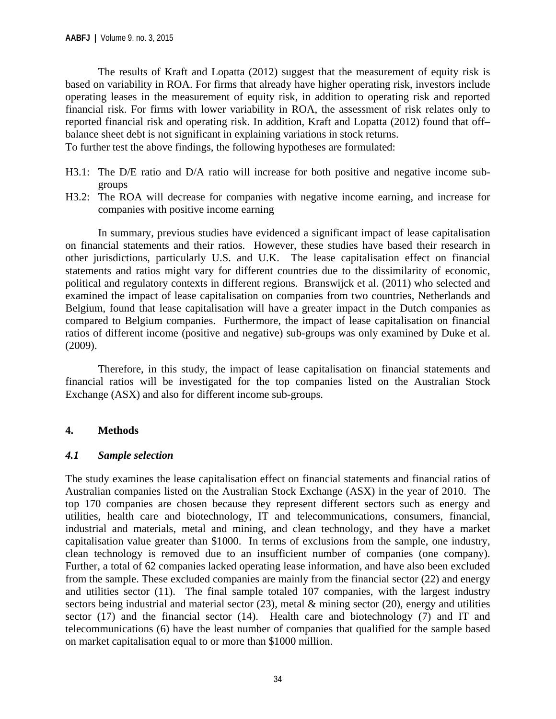The results of Kraft and Lopatta (2012) suggest that the measurement of equity risk is based on variability in ROA. For firms that already have higher operating risk, investors include operating leases in the measurement of equity risk, in addition to operating risk and reported financial risk. For firms with lower variability in ROA, the assessment of risk relates only to reported financial risk and operating risk. In addition, Kraft and Lopatta (2012) found that off– balance sheet debt is not significant in explaining variations in stock returns.

To further test the above findings, the following hypotheses are formulated:

- H3.1: The D/E ratio and D/A ratio will increase for both positive and negative income subgroups
- H3.2: The ROA will decrease for companies with negative income earning, and increase for companies with positive income earning

In summary, previous studies have evidenced a significant impact of lease capitalisation on financial statements and their ratios. However, these studies have based their research in other jurisdictions, particularly U.S. and U.K. The lease capitalisation effect on financial statements and ratios might vary for different countries due to the dissimilarity of economic, political and regulatory contexts in different regions. Branswijck et al. (2011) who selected and examined the impact of lease capitalisation on companies from two countries, Netherlands and Belgium, found that lease capitalisation will have a greater impact in the Dutch companies as compared to Belgium companies. Furthermore, the impact of lease capitalisation on financial ratios of different income (positive and negative) sub-groups was only examined by Duke et al. (2009).

Therefore, in this study, the impact of lease capitalisation on financial statements and financial ratios will be investigated for the top companies listed on the Australian Stock Exchange (ASX) and also for different income sub-groups.

#### **4. Methods**

#### *4.1 Sample selection*

The study examines the lease capitalisation effect on financial statements and financial ratios of Australian companies listed on the Australian Stock Exchange (ASX) in the year of 2010. The top 170 companies are chosen because they represent different sectors such as energy and utilities, health care and biotechnology, IT and telecommunications, consumers, financial, industrial and materials, metal and mining, and clean technology, and they have a market capitalisation value greater than \$1000. In terms of exclusions from the sample, one industry, clean technology is removed due to an insufficient number of companies (one company). Further, a total of 62 companies lacked operating lease information, and have also been excluded from the sample. These excluded companies are mainly from the financial sector (22) and energy and utilities sector (11). The final sample totaled 107 companies, with the largest industry sectors being industrial and material sector (23), metal & mining sector (20), energy and utilities sector (17) and the financial sector (14). Health care and biotechnology (7) and IT and telecommunications (6) have the least number of companies that qualified for the sample based on market capitalisation equal to or more than \$1000 million.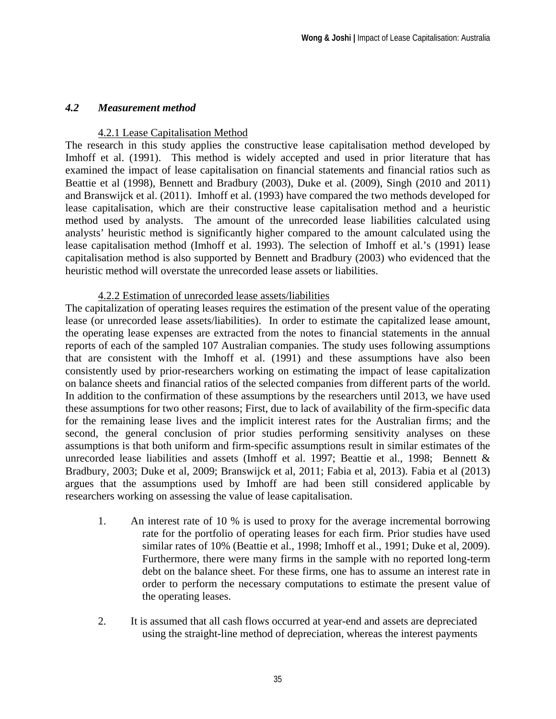#### *4.2 Measurement method*

#### 4.2.1 Lease Capitalisation Method

The research in this study applies the constructive lease capitalisation method developed by Imhoff et al. (1991). This method is widely accepted and used in prior literature that has examined the impact of lease capitalisation on financial statements and financial ratios such as Beattie et al (1998), Bennett and Bradbury (2003), Duke et al. (2009), Singh (2010 and 2011) and Branswijck et al. (2011). Imhoff et al. (1993) have compared the two methods developed for lease capitalisation, which are their constructive lease capitalisation method and a heuristic method used by analysts. The amount of the unrecorded lease liabilities calculated using analysts' heuristic method is significantly higher compared to the amount calculated using the lease capitalisation method (Imhoff et al. 1993). The selection of Imhoff et al.'s (1991) lease capitalisation method is also supported by Bennett and Bradbury (2003) who evidenced that the heuristic method will overstate the unrecorded lease assets or liabilities.

#### 4.2.2 Estimation of unrecorded lease assets/liabilities

The capitalization of operating leases requires the estimation of the present value of the operating lease (or unrecorded lease assets/liabilities). In order to estimate the capitalized lease amount, the operating lease expenses are extracted from the notes to financial statements in the annual reports of each of the sampled 107 Australian companies. The study uses following assumptions that are consistent with the Imhoff et al. (1991) and these assumptions have also been consistently used by prior-researchers working on estimating the impact of lease capitalization on balance sheets and financial ratios of the selected companies from different parts of the world. In addition to the confirmation of these assumptions by the researchers until 2013, we have used these assumptions for two other reasons; First, due to lack of availability of the firm-specific data for the remaining lease lives and the implicit interest rates for the Australian firms; and the second, the general conclusion of prior studies performing sensitivity analyses on these assumptions is that both uniform and firm-specific assumptions result in similar estimates of the unrecorded lease liabilities and assets (Imhoff et al. 1997; Beattie et al., 1998; Bennett & Bradbury, 2003; Duke et al, 2009; Branswijck et al, 2011; Fabia et al, 2013). Fabia et al (2013) argues that the assumptions used by Imhoff are had been still considered applicable by researchers working on assessing the value of lease capitalisation.

- 1. An interest rate of 10 % is used to proxy for the average incremental borrowing rate for the portfolio of operating leases for each firm. Prior studies have used similar rates of 10% (Beattie et al., 1998; Imhoff et al., 1991; Duke et al, 2009). Furthermore, there were many firms in the sample with no reported long-term debt on the balance sheet. For these firms, one has to assume an interest rate in order to perform the necessary computations to estimate the present value of the operating leases.
- 2. It is assumed that all cash flows occurred at year-end and assets are depreciated using the straight-line method of depreciation, whereas the interest payments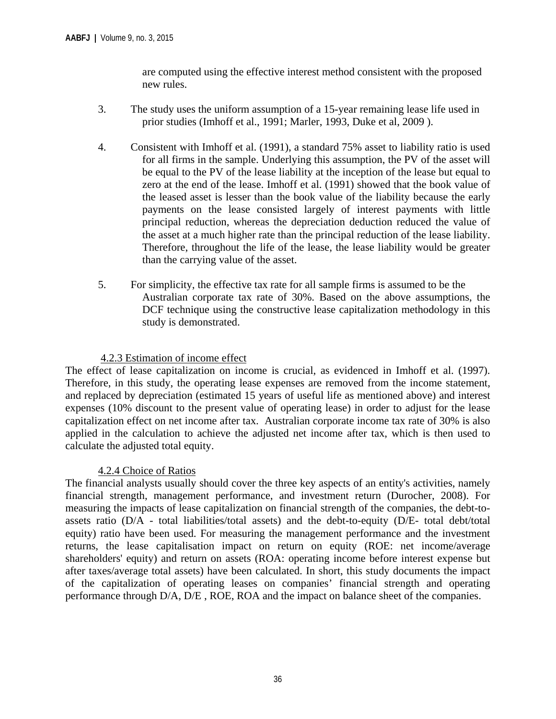are computed using the effective interest method consistent with the proposed new rules.

- 3. The study uses the uniform assumption of a 15-year remaining lease life used in prior studies (Imhoff et al., 1991; Marler, 1993, Duke et al, 2009 ).
- 4. Consistent with Imhoff et al. (1991), a standard 75% asset to liability ratio is used for all firms in the sample. Underlying this assumption, the PV of the asset will be equal to the PV of the lease liability at the inception of the lease but equal to zero at the end of the lease. Imhoff et al. (1991) showed that the book value of the leased asset is lesser than the book value of the liability because the early payments on the lease consisted largely of interest payments with little principal reduction, whereas the depreciation deduction reduced the value of the asset at a much higher rate than the principal reduction of the lease liability. Therefore, throughout the life of the lease, the lease liability would be greater than the carrying value of the asset.
- 5. For simplicity, the effective tax rate for all sample firms is assumed to be the Australian corporate tax rate of 30%. Based on the above assumptions, the DCF technique using the constructive lease capitalization methodology in this study is demonstrated.

#### 4.2.3 Estimation of income effect

The effect of lease capitalization on income is crucial, as evidenced in Imhoff et al. (1997). Therefore, in this study, the operating lease expenses are removed from the income statement, and replaced by depreciation (estimated 15 years of useful life as mentioned above) and interest expenses (10% discount to the present value of operating lease) in order to adjust for the lease capitalization effect on net income after tax. Australian corporate income tax rate of 30% is also applied in the calculation to achieve the adjusted net income after tax, which is then used to calculate the adjusted total equity.

#### 4.2.4 Choice of Ratios

The financial analysts usually should cover the three key aspects of an entity's activities, namely financial strength, management performance, and investment return (Durocher, 2008). For measuring the impacts of lease capitalization on financial strength of the companies, the debt-toassets ratio (D/A - total liabilities/total assets) and the debt-to-equity (D/E- total debt/total equity) ratio have been used. For measuring the management performance and the investment returns, the lease capitalisation impact on return on equity (ROE: net income/average shareholders' equity) and return on assets (ROA: operating income before interest expense but after taxes/average total assets) have been calculated. In short, this study documents the impact of the capitalization of operating leases on companies' financial strength and operating performance through D/A, D/E , ROE, ROA and the impact on balance sheet of the companies.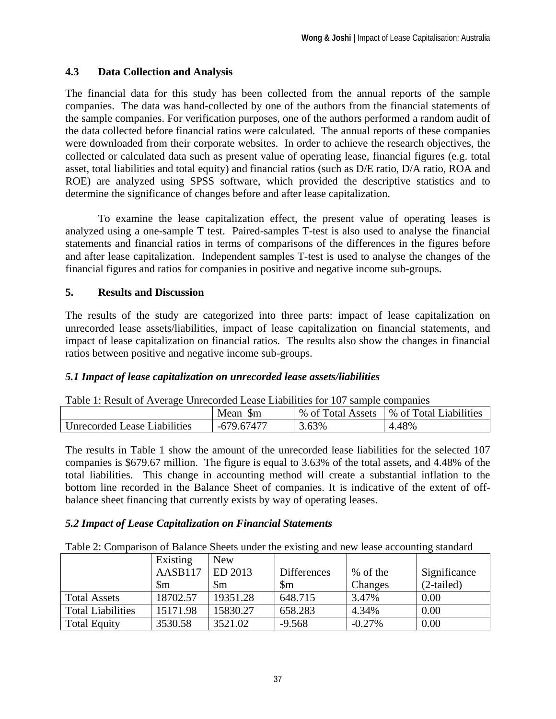#### **4.3 Data Collection and Analysis**

The financial data for this study has been collected from the annual reports of the sample companies. The data was hand-collected by one of the authors from the financial statements of the sample companies. For verification purposes, one of the authors performed a random audit of the data collected before financial ratios were calculated. The annual reports of these companies were downloaded from their corporate websites. In order to achieve the research objectives, the collected or calculated data such as present value of operating lease, financial figures (e.g. total asset, total liabilities and total equity) and financial ratios (such as D/E ratio, D/A ratio, ROA and ROE) are analyzed using SPSS software, which provided the descriptive statistics and to determine the significance of changes before and after lease capitalization.

To examine the lease capitalization effect, the present value of operating leases is analyzed using a one-sample T test. Paired-samples T-test is also used to analyse the financial statements and financial ratios in terms of comparisons of the differences in the figures before and after lease capitalization. Independent samples T-test is used to analyse the changes of the financial figures and ratios for companies in positive and negative income sub-groups.

#### **5. Results and Discussion**

The results of the study are categorized into three parts: impact of lease capitalization on unrecorded lease assets/liabilities, impact of lease capitalization on financial statements, and impact of lease capitalization on financial ratios. The results also show the changes in financial ratios between positive and negative income sub-groups.

#### *5.1 Impact of lease capitalization on unrecorded lease assets/liabilities*

|                              | Mean<br>$\mathfrak{m}$ | % of<br>Total Assets | % of Total Liabilities |
|------------------------------|------------------------|----------------------|------------------------|
| Unrecorded Lease Liabilities | -679.67477             | 3.63%                | 4.48%                  |

The results in Table 1 show the amount of the unrecorded lease liabilities for the selected 107 companies is \$679.67 million. The figure is equal to 3.63% of the total assets, and 4.48% of the total liabilities. This change in accounting method will create a substantial inflation to the bottom line recorded in the Balance Sheet of companies. It is indicative of the extent of offbalance sheet financing that currently exists by way of operating leases.

#### *5.2 Impact of Lease Capitalization on Financial Statements*

Table 2: Comparison of Balance Sheets under the existing and new lease accounting standard

|                          | Existing | <b>New</b> |                    |          |              |
|--------------------------|----------|------------|--------------------|----------|--------------|
|                          | AASB117  | ED 2013    | <b>Differences</b> | % of the | Significance |
|                          | Sm       | \$m        | $\mathbb{S}_{m}$   | Changes  | $(2-tailed)$ |
| <b>Total Assets</b>      | 18702.57 | 19351.28   | 648.715            | 3.47%    | 0.00         |
| <b>Total Liabilities</b> | 15171.98 | 15830.27   | 658.283            | 4.34%    | 0.00         |
| <b>Total Equity</b>      | 3530.58  | 3521.02    | $-9.568$           | $-0.27%$ | 0.00         |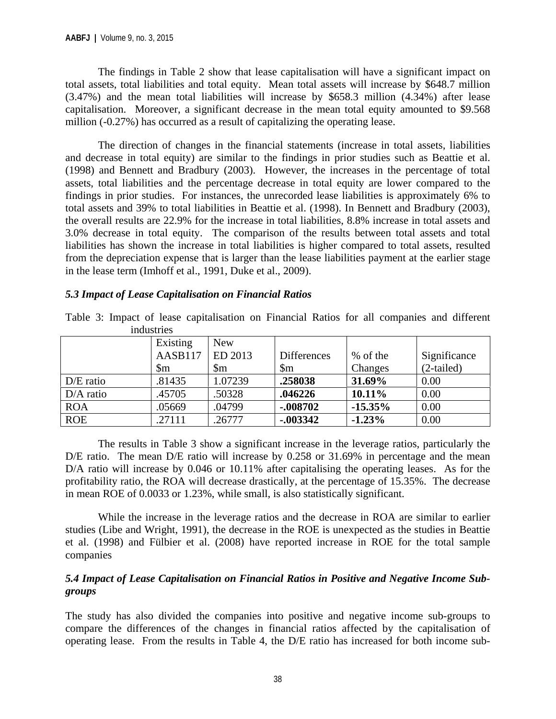The findings in Table 2 show that lease capitalisation will have a significant impact on total assets, total liabilities and total equity. Mean total assets will increase by \$648.7 million (3.47%) and the mean total liabilities will increase by \$658.3 million (4.34%) after lease capitalisation. Moreover, a significant decrease in the mean total equity amounted to \$9.568 million (-0.27%) has occurred as a result of capitalizing the operating lease.

The direction of changes in the financial statements (increase in total assets, liabilities and decrease in total equity) are similar to the findings in prior studies such as Beattie et al. (1998) and Bennett and Bradbury (2003). However, the increases in the percentage of total assets, total liabilities and the percentage decrease in total equity are lower compared to the findings in prior studies. For instances, the unrecorded lease liabilities is approximately 6% to total assets and 39% to total liabilities in Beattie et al. (1998). In Bennett and Bradbury (2003), the overall results are 22.9% for the increase in total liabilities, 8.8% increase in total assets and 3.0% decrease in total equity. The comparison of the results between total assets and total liabilities has shown the increase in total liabilities is higher compared to total assets, resulted from the depreciation expense that is larger than the lease liabilities payment at the earlier stage in the lease term (Imhoff et al., 1991, Duke et al., 2009).

#### *5.3 Impact of Lease Capitalisation on Financial Ratios*

Table 3: Impact of lease capitalisation on Financial Ratios for all companies and different industries

|             | Existing         | <b>New</b>       |                        |           |              |
|-------------|------------------|------------------|------------------------|-----------|--------------|
|             | AASB117          | ED 2013          | Differences            | % of the  | Significance |
|             | $\mathbb{S}_{m}$ | $\mathbb{S}_{m}$ | $\mathop{\mathrm{Sm}}$ | Changes   | $(2-tailed)$ |
| $D/E$ ratio | .81435           | 1.07239          | .258038                | 31.69%    | 0.00         |
| $D/A$ ratio | .45705           | .50328           | .046226                | 10.11%    | 0.00         |
| <b>ROA</b>  | .05669           | .04799           | $-0.08702$             | $-15.35%$ | 0.00         |
| <b>ROE</b>  | .27111           | .26777           | $-0.003342$            | $-1.23%$  | 0.00         |

The results in Table 3 show a significant increase in the leverage ratios, particularly the D/E ratio. The mean D/E ratio will increase by 0.258 or 31.69% in percentage and the mean D/A ratio will increase by 0.046 or 10.11% after capitalising the operating leases. As for the profitability ratio, the ROA will decrease drastically, at the percentage of 15.35%. The decrease in mean ROE of 0.0033 or 1.23%, while small, is also statistically significant.

While the increase in the leverage ratios and the decrease in ROA are similar to earlier studies (Libe and Wright, 1991), the decrease in the ROE is unexpected as the studies in Beattie et al. (1998) and Fülbier et al. (2008) have reported increase in ROE for the total sample companies

#### *5.4 Impact of Lease Capitalisation on Financial Ratios in Positive and Negative Income Subgroups*

The study has also divided the companies into positive and negative income sub-groups to compare the differences of the changes in financial ratios affected by the capitalisation of operating lease. From the results in Table 4, the D/E ratio has increased for both income sub-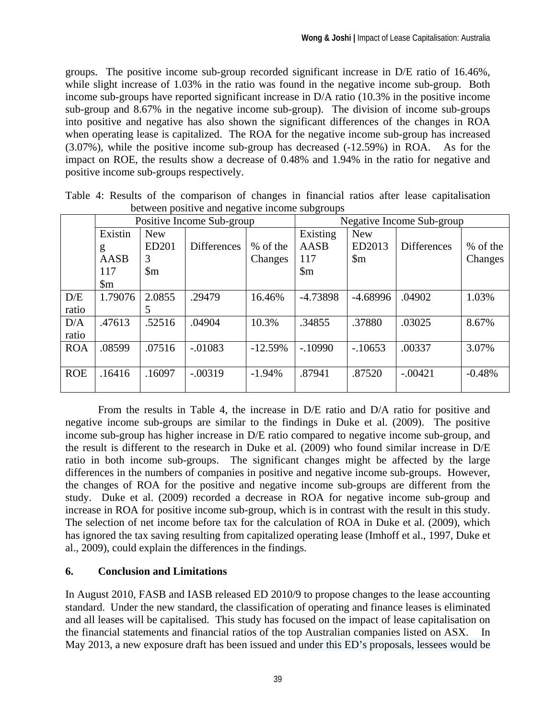groups. The positive income sub-group recorded significant increase in D/E ratio of 16.46%, while slight increase of 1.03% in the ratio was found in the negative income sub-group. Both income sub-groups have reported significant increase in D/A ratio (10.3% in the positive income sub-group and 8.67% in the negative income sub-group). The division of income sub-groups into positive and negative has also shown the significant differences of the changes in ROA when operating lease is capitalized. The ROA for the negative income sub-group has increased (3.07%), while the positive income sub-group has decreased (-12.59%) in ROA. As for the impact on ROE, the results show a decrease of 0.48% and 1.94% in the ratio for negative and positive income sub-groups respectively.

| between positive and negative meonic subgroups |                           |                        |                    |           |                           |                |                    |          |
|------------------------------------------------|---------------------------|------------------------|--------------------|-----------|---------------------------|----------------|--------------------|----------|
|                                                | Positive Income Sub-group |                        |                    |           | Negative Income Sub-group |                |                    |          |
|                                                | Existin                   | <b>New</b>             |                    |           | Existing                  | <b>New</b>     |                    |          |
|                                                | g                         | ED201                  | <b>Differences</b> | % of the  | AASB                      | ED2013         | <b>Differences</b> | % of the |
|                                                | AASB                      | 3                      |                    | Changes   | 117                       | $\mathfrak{m}$ |                    | Changes  |
|                                                | 117                       | $\mathop{\mathrm{Sm}}$ |                    |           | $\mathfrak{m}$            |                |                    |          |
|                                                | $\mathfrak{m}$            |                        |                    |           |                           |                |                    |          |
| D/E                                            | 1.79076                   | 2.0855                 | .29479             | 16.46%    | $-4.73898$                | $-4.68996$     | .04902             | 1.03%    |
| ratio                                          |                           | 5                      |                    |           |                           |                |                    |          |
| D/A                                            | .47613                    | .52516                 | .04904             | 10.3%     | .34855                    | .37880         | .03025             | 8.67%    |
| ratio                                          |                           |                        |                    |           |                           |                |                    |          |
| <b>ROA</b>                                     | .08599                    | .07516                 | $-.01083$          | $-12.59%$ | $-.10990$                 | $-10653$       | .00337             | 3.07%    |
|                                                |                           |                        |                    |           |                           |                |                    |          |
| <b>ROE</b>                                     | .16416                    | .16097                 | $-.00319$          | $-1.94%$  | .87941                    | .87520         | $-.00421$          | $-0.48%$ |
|                                                |                           |                        |                    |           |                           |                |                    |          |

Table 4: Results of the comparison of changes in financial ratios after lease capitalisation between positive and negative income subgroups

From the results in Table 4, the increase in D/E ratio and D/A ratio for positive and negative income sub-groups are similar to the findings in Duke et al. (2009). The positive income sub-group has higher increase in D/E ratio compared to negative income sub-group, and the result is different to the research in Duke et al. (2009) who found similar increase in D/E ratio in both income sub-groups. The significant changes might be affected by the large differences in the numbers of companies in positive and negative income sub-groups. However, the changes of ROA for the positive and negative income sub-groups are different from the study. Duke et al. (2009) recorded a decrease in ROA for negative income sub-group and increase in ROA for positive income sub-group, which is in contrast with the result in this study. The selection of net income before tax for the calculation of ROA in Duke et al. (2009), which has ignored the tax saving resulting from capitalized operating lease (Imhoff et al., 1997, Duke et al., 2009), could explain the differences in the findings.

#### **6. Conclusion and Limitations**

In August 2010, FASB and IASB released ED 2010/9 to propose changes to the lease accounting standard. Under the new standard, the classification of operating and finance leases is eliminated and all leases will be capitalised. This study has focused on the impact of lease capitalisation on the financial statements and financial ratios of the top Australian companies listed on ASX. In May 2013, a new exposure draft has been issued and under this ED's proposals, lessees would be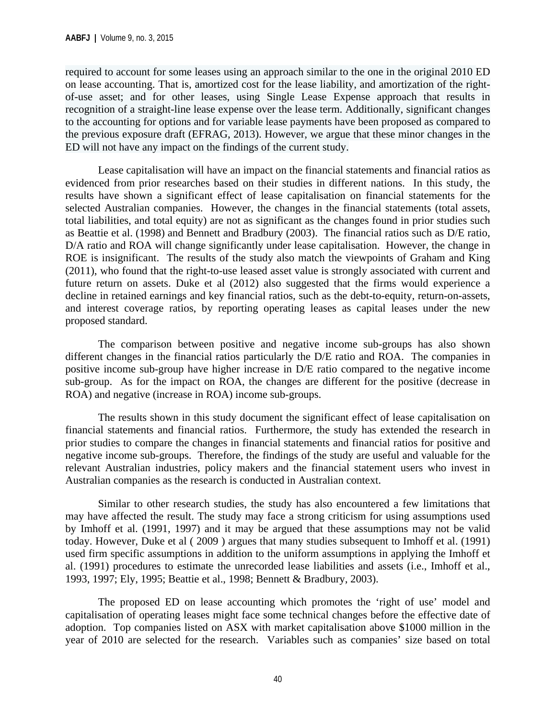required to account for some leases using an approach similar to the one in the original 2010 ED on lease accounting. That is, amortized cost for the lease liability, and amortization of the rightof-use asset; and for other leases, using Single Lease Expense approach that results in recognition of a straight-line lease expense over the lease term. Additionally, significant changes to the accounting for options and for variable lease payments have been proposed as compared to the previous exposure draft (EFRAG, 2013). However, we argue that these minor changes in the ED will not have any impact on the findings of the current study.

Lease capitalisation will have an impact on the financial statements and financial ratios as evidenced from prior researches based on their studies in different nations. In this study, the results have shown a significant effect of lease capitalisation on financial statements for the selected Australian companies. However, the changes in the financial statements (total assets, total liabilities, and total equity) are not as significant as the changes found in prior studies such as Beattie et al. (1998) and Bennett and Bradbury (2003). The financial ratios such as D/E ratio, D/A ratio and ROA will change significantly under lease capitalisation. However, the change in ROE is insignificant. The results of the study also match the viewpoints of Graham and King (2011), who found that the right-to-use leased asset value is strongly associated with current and future return on assets. Duke et al (2012) also suggested that the firms would experience a decline in retained earnings and key financial ratios, such as the debt-to-equity, return-on-assets, and interest coverage ratios, by reporting operating leases as capital leases under the new proposed standard.

The comparison between positive and negative income sub-groups has also shown different changes in the financial ratios particularly the D/E ratio and ROA. The companies in positive income sub-group have higher increase in D/E ratio compared to the negative income sub-group. As for the impact on ROA, the changes are different for the positive (decrease in ROA) and negative (increase in ROA) income sub-groups.

 The results shown in this study document the significant effect of lease capitalisation on financial statements and financial ratios. Furthermore, the study has extended the research in prior studies to compare the changes in financial statements and financial ratios for positive and negative income sub-groups. Therefore, the findings of the study are useful and valuable for the relevant Australian industries, policy makers and the financial statement users who invest in Australian companies as the research is conducted in Australian context.

Similar to other research studies, the study has also encountered a few limitations that may have affected the result. The study may face a strong criticism for using assumptions used by Imhoff et al. (1991, 1997) and it may be argued that these assumptions may not be valid today. However, Duke et al ( 2009 ) argues that many studies subsequent to Imhoff et al. (1991) used firm specific assumptions in addition to the uniform assumptions in applying the Imhoff et al. (1991) procedures to estimate the unrecorded lease liabilities and assets (i.e., Imhoff et al., 1993, 1997; Ely, 1995; Beattie et al., 1998; Bennett & Bradbury, 2003).

 The proposed ED on lease accounting which promotes the 'right of use' model and capitalisation of operating leases might face some technical changes before the effective date of adoption. Top companies listed on ASX with market capitalisation above \$1000 million in the year of 2010 are selected for the research. Variables such as companies' size based on total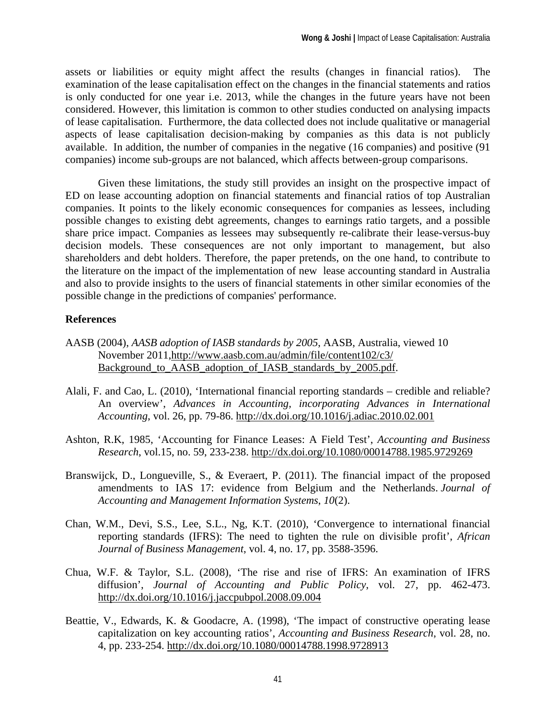assets or liabilities or equity might affect the results (changes in financial ratios). The examination of the lease capitalisation effect on the changes in the financial statements and ratios is only conducted for one year i.e. 2013, while the changes in the future years have not been considered. However, this limitation is common to other studies conducted on analysing impacts of lease capitalisation. Furthermore, the data collected does not include qualitative or managerial aspects of lease capitalisation decision-making by companies as this data is not publicly available. In addition, the number of companies in the negative (16 companies) and positive (91 companies) income sub-groups are not balanced, which affects between-group comparisons.

Given these limitations, the study still provides an insight on the prospective impact of ED on lease accounting adoption on financial statements and financial ratios of top Australian companies. It points to the likely economic consequences for companies as lessees, including possible changes to existing debt agreements, changes to earnings ratio targets, and a possible share price impact. Companies as lessees may subsequently re-calibrate their lease-versus-buy decision models. These consequences are not only important to management, but also shareholders and debt holders. Therefore, the paper pretends, on the one hand, to contribute to the literature on the impact of the implementation of new lease accounting standard in Australia and also to provide insights to the users of financial statements in other similar economies of the possible change in the predictions of companies' performance.

#### **References**

- AASB (2004), *AASB adoption of IASB standards by 2005*, AASB, Australia, viewed 10 November 2011,http://www.aasb.com.au/admin/file/content102/c3/ Background\_to\_AASB\_adoption\_of\_IASB\_standards\_by\_2005.pdf.
- Alali, F. and Cao, L. (2010), 'International financial reporting standards credible and reliable? An overview', *Advances in Accounting, incorporating Advances in International Accounting*, vol. 26, pp. 79-86. http://dx.doi.org/10.1016/j.adiac.2010.02.001
- Ashton, R.K, 1985, 'Accounting for Finance Leases: A Field Test', *Accounting and Business Research*, vol.15, no. 59, 233-238. http://dx.doi.org/10.1080/00014788.1985.9729269
- Branswijck, D., Longueville, S., & Everaert, P. (2011). The financial impact of the proposed amendments to IAS 17: evidence from Belgium and the Netherlands. *Journal of Accounting and Management Information Systems*, *10*(2).
- Chan, W.M., Devi, S.S., Lee, S.L., Ng, K.T. (2010), 'Convergence to international financial reporting standards (IFRS): The need to tighten the rule on divisible profit', *African Journal of Business Management*, vol. 4, no. 17, pp. 3588-3596.
- Chua, W.F. & Taylor, S.L. (2008), 'The rise and rise of IFRS: An examination of IFRS diffusion', *Journal of Accounting and Public Policy*, vol. 27, pp. 462-473. http://dx.doi.org/10.1016/j.jaccpubpol.2008.09.004
- Beattie, V., Edwards, K. & Goodacre, A. (1998), 'The impact of constructive operating lease capitalization on key accounting ratios', *Accounting and Business Research*, vol. 28, no. 4, pp. 233-254. http://dx.doi.org/10.1080/00014788.1998.9728913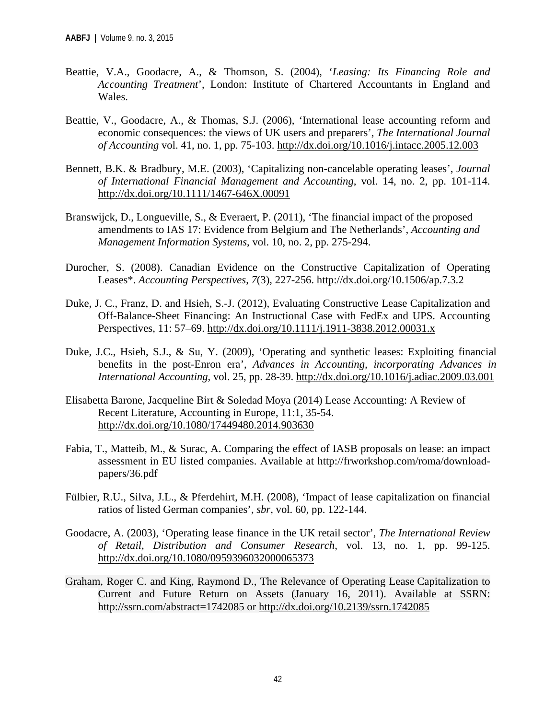- Beattie, V.A., Goodacre, A., & Thomson, S. (2004), '*Leasing: Its Financing Role and Accounting Treatment*', London: Institute of Chartered Accountants in England and Wales.
- Beattie, V., Goodacre, A., & Thomas, S.J. (2006), 'International lease accounting reform and economic consequences: the views of UK users and preparers', *The International Journal of Accounting* vol. 41, no. 1, pp. 75-103. http://dx.doi.org/10.1016/j.intacc.2005.12.003
- Bennett, B.K. & Bradbury, M.E. (2003), 'Capitalizing non-cancelable operating leases', *Journal of International Financial Management and Accounting*, vol. 14, no. 2, pp. 101-114. http://dx.doi.org/10.1111/1467-646X.00091
- Branswijck, D., Longueville, S., & Everaert, P. (2011), 'The financial impact of the proposed amendments to IAS 17: Evidence from Belgium and The Netherlands', *Accounting and Management Information Systems*, vol. 10, no. 2, pp. 275-294.
- Durocher, S. (2008). Canadian Evidence on the Constructive Capitalization of Operating Leases\*. *Accounting Perspectives*, *7*(3), 227-256. http://dx.doi.org/10.1506/ap.7.3.2
- Duke, J. C., Franz, D. and Hsieh, S.-J. (2012), Evaluating Constructive Lease Capitalization and Off-Balance-Sheet Financing: An Instructional Case with FedEx and UPS. Accounting Perspectives, 11: 57–69. http://dx.doi.org/10.1111/j.1911-3838.2012.00031.x
- Duke, J.C., Hsieh, S.J., & Su, Y. (2009), 'Operating and synthetic leases: Exploiting financial benefits in the post-Enron era', *Advances in Accounting, incorporating Advances in International Accounting*, vol. 25, pp. 28-39. http://dx.doi.org/10.1016/j.adiac.2009.03.001
- Elisabetta Barone, Jacqueline Birt & Soledad Moya (2014) Lease Accounting: A Review of Recent Literature, Accounting in Europe, 11:1, 35-54. http://dx.doi.org/10.1080/17449480.2014.903630
- Fabia, T., Matteib, M., & Surac, A. Comparing the effect of IASB proposals on lease: an impact assessment in EU listed companies. Available at http://frworkshop.com/roma/downloadpapers/36.pdf
- Fülbier, R.U., Silva, J.L., & Pferdehirt, M.H. (2008), 'Impact of lease capitalization on financial ratios of listed German companies', *sbr*, vol. 60, pp. 122-144.
- Goodacre, A. (2003), 'Operating lease finance in the UK retail sector', *The International Review of Retail, Distribution and Consumer Research*, vol. 13, no. 1, pp. 99-125. http://dx.doi.org/10.1080/0959396032000065373
- Graham, Roger C. and King, Raymond D., The Relevance of Operating Lease Capitalization to Current and Future Return on Assets (January 16, 2011). Available at SSRN: http://ssrn.com/abstract=1742085 or http://dx.doi.org/10.2139/ssrn.1742085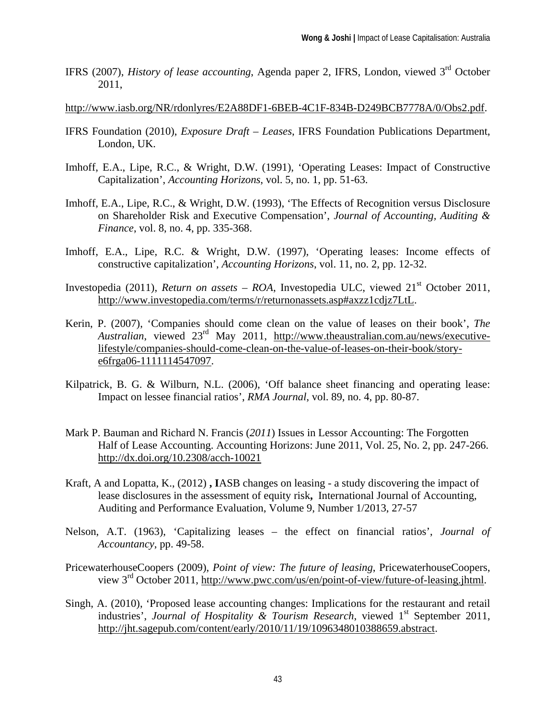IFRS (2007), *History of lease accounting*, Agenda paper 2, IFRS, London, viewed 3rd October 2011,

http://www.iasb.org/NR/rdonlyres/E2A88DF1-6BEB-4C1F-834B-D249BCB7778A/0/Obs2.pdf.

- IFRS Foundation (2010), *Exposure Draft Leases*, IFRS Foundation Publications Department, London, UK.
- Imhoff, E.A., Lipe, R.C., & Wright, D.W. (1991), 'Operating Leases: Impact of Constructive Capitalization', *Accounting Horizons*, vol. 5, no. 1, pp. 51-63.
- Imhoff, E.A., Lipe, R.C., & Wright, D.W. (1993), 'The Effects of Recognition versus Disclosure on Shareholder Risk and Executive Compensation', *Journal of Accounting, Auditing & Finance*, vol. 8, no. 4, pp. 335-368.
- Imhoff, E.A., Lipe, R.C. & Wright, D.W. (1997), 'Operating leases: Income effects of constructive capitalization', *Accounting Horizons*, vol. 11, no. 2, pp. 12-32.
- Investopedia (2011), *Return on assets ROA*, Investopedia ULC, viewed  $21<sup>st</sup>$  October 2011, http://www.investopedia.com/terms/r/returnonassets.asp#axzz1cdjz7LtL.
- Kerin, P. (2007), 'Companies should come clean on the value of leases on their book', *The Australian*, viewed 23rd May 2011, http://www.theaustralian.com.au/news/executivelifestyle/companies-should-come-clean-on-the-value-of-leases-on-their-book/storye6frga06-1111114547097.
- Kilpatrick, B. G. & Wilburn, N.L. (2006), 'Off balance sheet financing and operating lease: Impact on lessee financial ratios', *RMA Journal*, vol. 89, no. 4, pp. 80-87.
- Mark P. Bauman and Richard N. Francis (*2011*) Issues in Lessor Accounting: The Forgotten Half of Lease Accounting. Accounting Horizons: June 2011, Vol. 25, No. 2, pp. 247-266. http://dx.doi.org/10.2308/acch-10021
- Kraft, A and Lopatta, K., (2012) **, I**ASB changes on leasing a study discovering the impact of lease disclosures in the assessment of equity risk**,** International Journal of Accounting, Auditing and Performance Evaluation, Volume 9, Number 1/2013, 27-57
- Nelson, A.T. (1963), 'Capitalizing leases the effect on financial ratios', *Journal of Accountancy*, pp. 49-58.
- PricewaterhouseCoopers (2009), *Point of view: The future of leasing*, PricewaterhouseCoopers, view 3rd October 2011, http://www.pwc.com/us/en/point-of-view/future-of-leasing.jhtml.
- Singh, A. (2010), 'Proposed lease accounting changes: Implications for the restaurant and retail industries', *Journal of Hospitality & Tourism Research*, viewed  $1<sup>st</sup>$  September 2011, http://jht.sagepub.com/content/early/2010/11/19/1096348010388659.abstract.